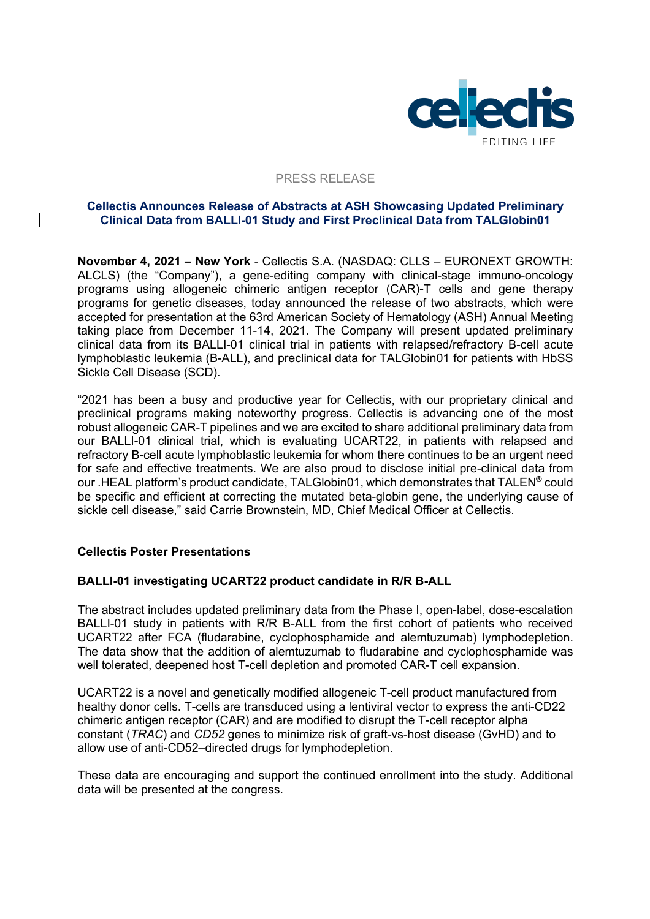

#### PRESS RELEASE

## **Cellectis Announces Release of Abstracts at ASH Showcasing Updated Preliminary Clinical Data from BALLI-01 Study and First Preclinical Data from TALGlobin01**

**November 4, 2021 – New York** - Cellectis S.A. (NASDAQ: CLLS – EURONEXT GROWTH: ALCLS) (the "Company"), a gene-editing company with clinical-stage immuno-oncology programs using allogeneic chimeric antigen receptor (CAR)-T cells and gene therapy programs for genetic diseases, today announced the release of two abstracts, which were accepted for presentation at the 63rd American Society of Hematology (ASH) Annual Meeting taking place from December 11-14, 2021. The Company will present updated preliminary clinical data from its BALLI-01 clinical trial in patients with relapsed/refractory B-cell acute lymphoblastic leukemia (B-ALL), and preclinical data for TALGlobin01 for patients with HbSS Sickle Cell Disease (SCD).

"2021 has been a busy and productive year for Cellectis, with our proprietary clinical and preclinical programs making noteworthy progress. Cellectis is advancing one of the most robust allogeneic CAR-T pipelines and we are excited to share additional preliminary data from our BALLI-01 clinical trial, which is evaluating UCART22, in patients with relapsed and refractory B-cell acute lymphoblastic leukemia for whom there continues to be an urgent need for safe and effective treatments. We are also proud to disclose initial pre-clinical data from our .HEAL platform's product candidate, TALGlobin01, which demonstrates that TALEN**®** could be specific and efficient at correcting the mutated beta-globin gene, the underlying cause of sickle cell disease," said Carrie Brownstein, MD, Chief Medical Officer at Cellectis.

# **Cellectis Poster Presentations**

# **BALLI-01 investigating UCART22 product candidate in R/R B-ALL**

The abstract includes updated preliminary data from the Phase I, open-label, dose-escalation BALLI-01 study in patients with R/R B-ALL from the first cohort of patients who received UCART22 after FCA (fludarabine, cyclophosphamide and alemtuzumab) lymphodepletion. The data show that the addition of alemtuzumab to fludarabine and cyclophosphamide was well tolerated, deepened host T-cell depletion and promoted CAR-T cell expansion.

UCART22 is a novel and genetically modified allogeneic T-cell product manufactured from healthy donor cells. T-cells are transduced using a lentiviral vector to express the anti-CD22 chimeric antigen receptor (CAR) and are modified to disrupt the T-cell receptor alpha constant (*TRAC*) and *CD52* genes to minimize risk of graft-vs-host disease (GvHD) and to allow use of anti-CD52–directed drugs for lymphodepletion.

These data are encouraging and support the continued enrollment into the study. Additional data will be presented at the congress.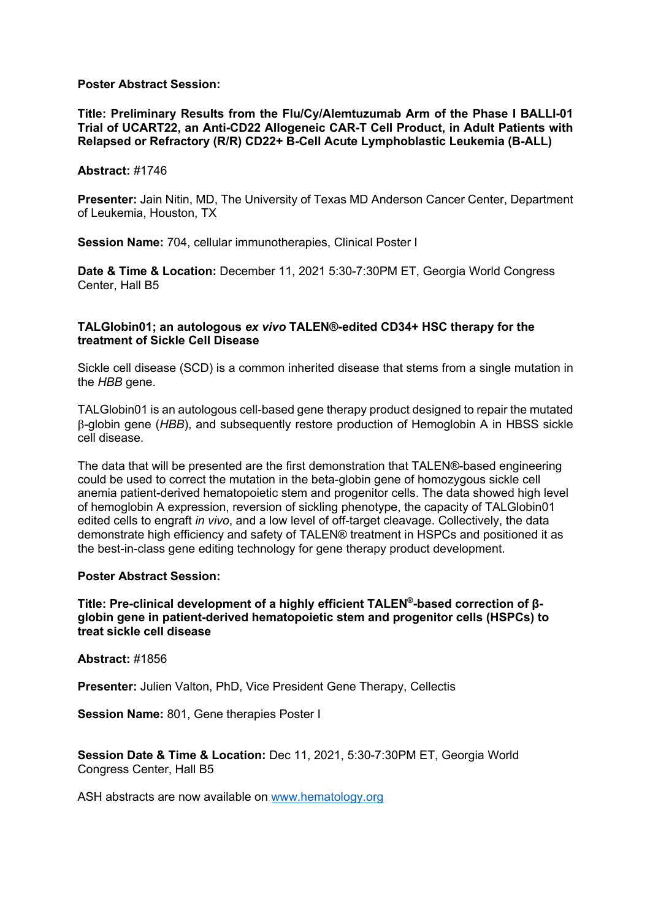### **Poster Abstract Session:**

**Title: Preliminary Results from the Flu/Cy/Alemtuzumab Arm of the Phase I BALLI-01 Trial of UCART22, an Anti-CD22 Allogeneic CAR-T Cell Product, in Adult Patients with Relapsed or Refractory (R/R) CD22+ B-Cell Acute Lymphoblastic Leukemia (B-ALL)**

#### **Abstract:** #1746

**Presenter:** Jain Nitin, MD, The University of Texas MD Anderson Cancer Center, Department of Leukemia, Houston, TX

**Session Name:** 704, cellular immunotherapies, Clinical Poster I

**Date & Time & Location:** December 11, 2021 5:30-7:30PM ET, Georgia World Congress Center, Hall B5

## **TALGlobin01; an autologous** *ex vivo* **TALEN®-edited CD34+ HSC therapy for the treatment of Sickle Cell Disease**

Sickle cell disease (SCD) is a common inherited disease that stems from a single mutation in the *HBB* gene.

TALGlobin01 is an autologous cell-based gene therapy product designed to repair the mutated b-globin gene (*HBB*), and subsequently restore production of Hemoglobin A in HBSS sickle cell disease.

The data that will be presented are the first demonstration that TALEN®-based engineering could be used to correct the mutation in the beta-globin gene of homozygous sickle cell anemia patient-derived hematopoietic stem and progenitor cells. The data showed high level of hemoglobin A expression, reversion of sickling phenotype, the capacity of TALGlobin01 edited cells to engraft *in vivo*, and a low level of off-target cleavage. Collectively, the data demonstrate high efficiency and safety of TALEN® treatment in HSPCs and positioned it as the best-in-class gene editing technology for gene therapy product development.

#### **Poster Abstract Session:**

**Title: Pre-clinical development of a highly efficient TALEN®-based correction of βglobin gene in patient-derived hematopoietic stem and progenitor cells (HSPCs) to treat sickle cell disease**

#### **Abstract:** #1856

**Presenter:** Julien Valton, PhD, Vice President Gene Therapy, Cellectis

**Session Name:** 801, Gene therapies Poster I

**Session Date & Time & Location:** Dec 11, 2021, 5:30-7:30PM ET, Georgia World Congress Center, Hall B5

ASH abstracts are now available on www.hematology.org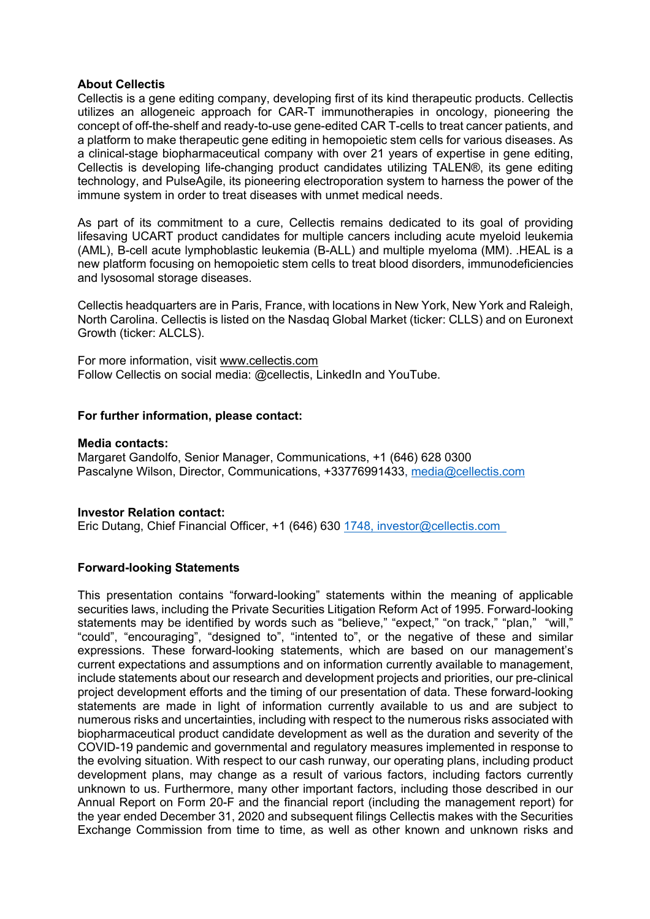## **About Cellectis**

Cellectis is a gene editing company, developing first of its kind therapeutic products. Cellectis utilizes an allogeneic approach for CAR-T immunotherapies in oncology, pioneering the concept of off-the-shelf and ready-to-use gene-edited CAR T-cells to treat cancer patients, and a platform to make therapeutic gene editing in hemopoietic stem cells for various diseases. As a clinical-stage biopharmaceutical company with over 21 years of expertise in gene editing, Cellectis is developing life-changing product candidates utilizing TALEN®, its gene editing technology, and PulseAgile, its pioneering electroporation system to harness the power of the immune system in order to treat diseases with unmet medical needs.

As part of its commitment to a cure, Cellectis remains dedicated to its goal of providing lifesaving UCART product candidates for multiple cancers including acute myeloid leukemia (AML), B-cell acute lymphoblastic leukemia (B-ALL) and multiple myeloma (MM). .HEAL is a new platform focusing on hemopoietic stem cells to treat blood disorders, immunodeficiencies and lysosomal storage diseases.

Cellectis headquarters are in Paris, France, with locations in New York, New York and Raleigh, North Carolina. Cellectis is listed on the Nasdaq Global Market (ticker: CLLS) and on Euronext Growth (ticker: ALCLS).

For more information, visit www.cellectis.com Follow Cellectis on social media: @cellectis, LinkedIn and YouTube.

## **For further information, please contact:**

#### **Media contacts:**

Margaret Gandolfo, Senior Manager, Communications, +1 (646) 628 0300 Pascalyne Wilson, Director, Communications, +33776991433, media@cellectis.com

#### **Investor Relation contact:**

Eric Dutang, Chief Financial Officer, +1 (646) 630 1748, investor@cellectis.com

# **Forward-looking Statements**

This presentation contains "forward-looking" statements within the meaning of applicable securities laws, including the Private Securities Litigation Reform Act of 1995. Forward-looking statements may be identified by words such as "believe," "expect," "on track," "plan," "will," "could", "encouraging", "designed to", "intented to", or the negative of these and similar expressions. These forward-looking statements, which are based on our management's current expectations and assumptions and on information currently available to management, include statements about our research and development projects and priorities, our pre-clinical project development efforts and the timing of our presentation of data. These forward-looking statements are made in light of information currently available to us and are subject to numerous risks and uncertainties, including with respect to the numerous risks associated with biopharmaceutical product candidate development as well as the duration and severity of the COVID-19 pandemic and governmental and regulatory measures implemented in response to the evolving situation. With respect to our cash runway, our operating plans, including product development plans, may change as a result of various factors, including factors currently unknown to us. Furthermore, many other important factors, including those described in our Annual Report on Form 20-F and the financial report (including the management report) for the year ended December 31, 2020 and subsequent filings Cellectis makes with the Securities Exchange Commission from time to time, as well as other known and unknown risks and